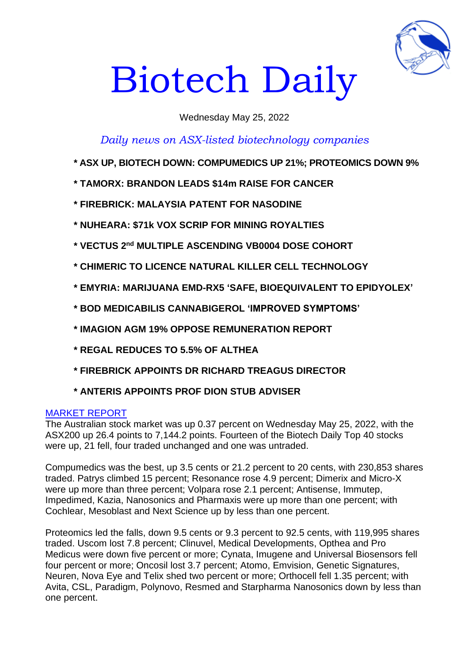

# Biotech Daily

# Wednesday May 25, 2022

# *Daily news on ASX-listed biotechnology companies*

- **\* ASX UP, BIOTECH DOWN: COMPUMEDICS UP 21%; PROTEOMICS DOWN 9%**
- **\* TAMORX: BRANDON LEADS \$14m RAISE FOR CANCER**
- **\* FIREBRICK: MALAYSIA PATENT FOR NASODINE**
- **\* NUHEARA: \$71k VOX SCRIP FOR MINING ROYALTIES**
- **\* VECTUS 2 nd MULTIPLE ASCENDING VB0004 DOSE COHORT**
- **\* CHIMERIC TO LICENCE NATURAL KILLER CELL TECHNOLOGY**
- **\* EMYRIA: MARIJUANA EMD-RX5 'SAFE, BIOEQUIVALENT TO EPIDYOLEX'**
- **\* BOD MEDICABILIS CANNABIGEROL 'IMPROVED SYMPTOMS'**
- **\* IMAGION AGM 19% OPPOSE REMUNERATION REPORT**
- **\* REGAL REDUCES TO 5.5% OF ALTHEA**
- **\* FIREBRICK APPOINTS DR RICHARD TREAGUS DIRECTOR**
- **\* ANTERIS APPOINTS PROF DION STUB ADVISER**

## MARKET REPORT

The Australian stock market was up 0.37 percent on Wednesday May 25, 2022, with the ASX200 up 26.4 points to 7,144.2 points. Fourteen of the Biotech Daily Top 40 stocks were up, 21 fell, four traded unchanged and one was untraded.

Compumedics was the best, up 3.5 cents or 21.2 percent to 20 cents, with 230,853 shares traded. Patrys climbed 15 percent; Resonance rose 4.9 percent; Dimerix and Micro-X were up more than three percent; Volpara rose 2.1 percent; Antisense, Immutep, Impedimed, Kazia, Nanosonics and Pharmaxis were up more than one percent; with Cochlear, Mesoblast and Next Science up by less than one percent.

Proteomics led the falls, down 9.5 cents or 9.3 percent to 92.5 cents, with 119,995 shares traded. Uscom lost 7.8 percent; Clinuvel, Medical Developments, Opthea and Pro Medicus were down five percent or more; Cynata, Imugene and Universal Biosensors fell four percent or more; Oncosil lost 3.7 percent; Atomo, Emvision, Genetic Signatures, Neuren, Nova Eye and Telix shed two percent or more; Orthocell fell 1.35 percent; with Avita, CSL, Paradigm, Polynovo, Resmed and Starpharma Nanosonics down by less than one percent.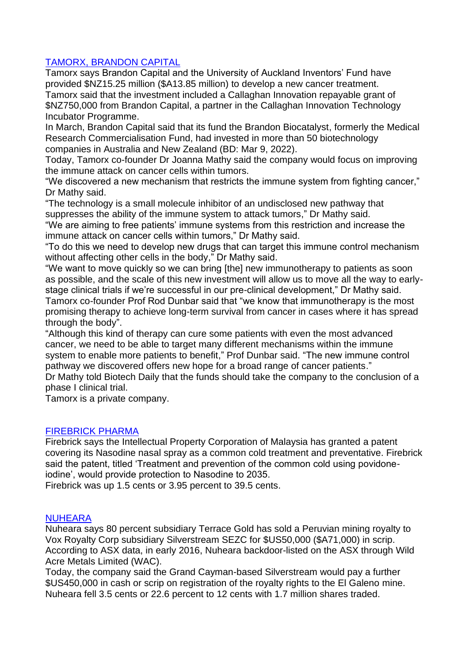# TAMORX, BRANDON CAPITAL

Tamorx says Brandon Capital and the University of Auckland Inventors' Fund have provided \$NZ15.25 million (\$A13.85 million) to develop a new cancer treatment. Tamorx said that the investment included a Callaghan Innovation repayable grant of \$NZ750,000 from Brandon Capital, a partner in the Callaghan Innovation Technology Incubator Programme.

In March, Brandon Capital said that its fund the Brandon Biocatalyst, formerly the Medical Research Commercialisation Fund, had invested in more than 50 biotechnology companies in Australia and New Zealand (BD: Mar 9, 2022).

Today, Tamorx co-founder Dr Joanna Mathy said the company would focus on improving the immune attack on cancer cells within tumors.

"We discovered a new mechanism that restricts the immune system from fighting cancer," Dr Mathy said.

"The technology is a small molecule inhibitor of an undisclosed new pathway that suppresses the ability of the immune system to attack tumors," Dr Mathy said.

"We are aiming to free patients' immune systems from this restriction and increase the immune attack on cancer cells within tumors," Dr Mathy said.

"To do this we need to develop new drugs that can target this immune control mechanism without affecting other cells in the body," Dr Mathy said.

"We want to move quickly so we can bring [the] new immunotherapy to patients as soon as possible, and the scale of this new investment will allow us to move all the way to earlystage clinical trials if we're successful in our pre-clinical development," Dr Mathy said. Tamorx co-founder Prof Rod Dunbar said that "we know that immunotherapy is the most promising therapy to achieve long-term survival from cancer in cases where it has spread through the body".

"Although this kind of therapy can cure some patients with even the most advanced cancer, we need to be able to target many different mechanisms within the immune system to enable more patients to benefit," Prof Dunbar said. "The new immune control pathway we discovered offers new hope for a broad range of cancer patients."

Dr Mathy told Biotech Daily that the funds should take the company to the conclusion of a phase I clinical trial.

Tamorx is a private company.

## FIREBRICK PHARMA

Firebrick says the Intellectual Property Corporation of Malaysia has granted a patent covering its Nasodine nasal spray as a common cold treatment and preventative. Firebrick said the patent, titled 'Treatment and prevention of the common cold using povidoneiodine', would provide protection to Nasodine to 2035.

Firebrick was up 1.5 cents or 3.95 percent to 39.5 cents.

## **NUHEARA**

Nuheara says 80 percent subsidiary Terrace Gold has sold a Peruvian mining royalty to Vox Royalty Corp subsidiary Silverstream SEZC for \$US50,000 (\$A71,000) in scrip. According to ASX data, in early 2016, Nuheara backdoor-listed on the ASX through Wild Acre Metals Limited (WAC).

Today, the company said the Grand Cayman-based Silverstream would pay a further \$US450,000 in cash or scrip on registration of the royalty rights to the El Galeno mine. Nuheara fell 3.5 cents or 22.6 percent to 12 cents with 1.7 million shares traded.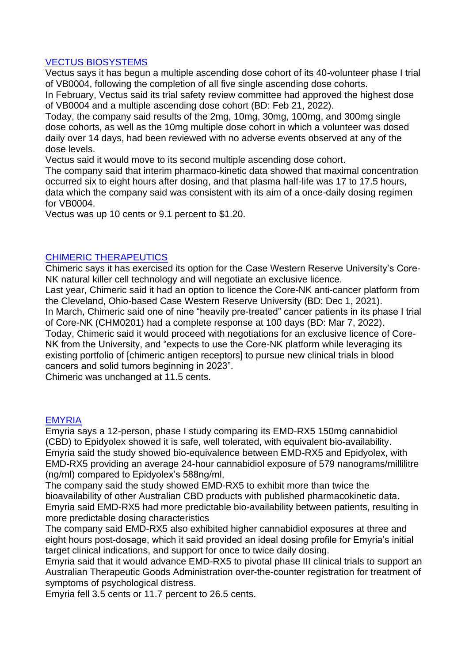# VECTUS BIOSYSTEMS

Vectus says it has begun a multiple ascending dose cohort of its 40-volunteer phase I trial of VB0004, following the completion of all five single ascending dose cohorts.

In February, Vectus said its trial safety review committee had approved the highest dose of VB0004 and a multiple ascending dose cohort (BD: Feb 21, 2022).

Today, the company said results of the 2mg, 10mg, 30mg, 100mg, and 300mg single dose cohorts, as well as the 10mg multiple dose cohort in which a volunteer was dosed daily over 14 days, had been reviewed with no adverse events observed at any of the dose levels.

Vectus said it would move to its second multiple ascending dose cohort.

The company said that interim pharmaco-kinetic data showed that maximal concentration occurred six to eight hours after dosing, and that plasma half-life was 17 to 17.5 hours, data which the company said was consistent with its aim of a once-daily dosing regimen for VB0004.

Vectus was up 10 cents or 9.1 percent to \$1.20.

# CHIMERIC THERAPEUTICS

Chimeric says it has exercised its option for the Case Western Reserve University's Core-NK natural killer cell technology and will negotiate an exclusive licence.

Last year, Chimeric said it had an option to licence the Core-NK anti-cancer platform from the Cleveland, Ohio-based Case Western Reserve University (BD: Dec 1, 2021). In March, Chimeric said one of nine "heavily pre-treated" cancer patients in its phase I trial of Core-NK (CHM0201) had a complete response at 100 days (BD: Mar 7, 2022). Today, Chimeric said it would proceed with negotiations for an exclusive licence of Core-NK from the University, and "expects to use the Core-NK platform while leveraging its existing portfolio of [chimeric antigen receptors] to pursue new clinical trials in blood cancers and solid tumors beginning in 2023".

Chimeric was unchanged at 11.5 cents.

## EMYRIA

Emyria says a 12-person, phase I study comparing its EMD-RX5 150mg cannabidiol (CBD) to Epidyolex showed it is safe, well tolerated, with equivalent bio-availability. Emyria said the study showed bio-equivalence between EMD-RX5 and Epidyolex, with EMD-RX5 providing an average 24-hour cannabidiol exposure of 579 nanograms/millilitre (ng/ml) compared to Epidyolex's 588ng/ml.

The company said the study showed EMD-RX5 to exhibit more than twice the bioavailability of other Australian CBD products with published pharmacokinetic data. Emyria said EMD-RX5 had more predictable bio-availability between patients, resulting in more predictable dosing characteristics

The company said EMD-RX5 also exhibited higher cannabidiol exposures at three and eight hours post-dosage, which it said provided an ideal dosing profile for Emyria's initial target clinical indications, and support for once to twice daily dosing.

Emyria said that it would advance EMD-RX5 to pivotal phase III clinical trials to support an Australian Therapeutic Goods Administration over-the-counter registration for treatment of symptoms of psychological distress.

Emyria fell 3.5 cents or 11.7 percent to 26.5 cents.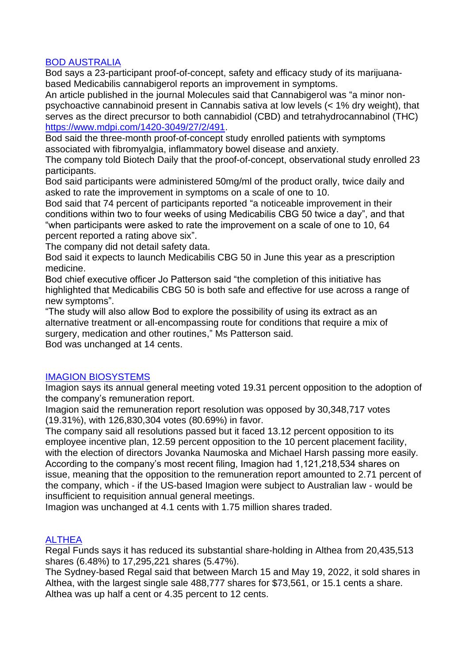# BOD AUSTRALIA

Bod says a 23-participant proof-of-concept, safety and efficacy study of its marijuanabased Medicabilis cannabigerol reports an improvement in symptoms.

An article published in the journal Molecules said that Cannabigerol was "a minor nonpsychoactive cannabinoid present in Cannabis sativa at low levels (< 1% dry weight), that serves as the direct precursor to both cannabidiol (CBD) and tetrahydrocannabinol (THC) [https://www.mdpi.com/1420-3049/27/2/491.](https://www.mdpi.com/1420-3049/27/2/491)

Bod said the three-month proof-of-concept study enrolled patients with symptoms associated with fibromyalgia, inflammatory bowel disease and anxiety.

The company told Biotech Daily that the proof-of-concept, observational study enrolled 23 participants.

Bod said participants were administered 50mg/ml of the product orally, twice daily and asked to rate the improvement in symptoms on a scale of one to 10.

Bod said that 74 percent of participants reported "a noticeable improvement in their conditions within two to four weeks of using Medicabilis CBG 50 twice a day", and that "when participants were asked to rate the improvement on a scale of one to 10, 64 percent reported a rating above six".

The company did not detail safety data.

Bod said it expects to launch Medicabilis CBG 50 in June this year as a prescription medicine.

Bod chief executive officer Jo Patterson said "the completion of this initiative has highlighted that Medicabilis CBG 50 is both safe and effective for use across a range of new symptoms".

"The study will also allow Bod to explore the possibility of using its extract as an alternative treatment or all-encompassing route for conditions that require a mix of surgery, medication and other routines," Ms Patterson said.

Bod was unchanged at 14 cents.

## IMAGION BIOSYSTEMS

Imagion says its annual general meeting voted 19.31 percent opposition to the adoption of the company's remuneration report.

Imagion said the remuneration report resolution was opposed by 30,348,717 votes (19.31%), with 126,830,304 votes (80.69%) in favor.

The company said all resolutions passed but it faced 13.12 percent opposition to its employee incentive plan, 12.59 percent opposition to the 10 percent placement facility, with the election of directors Jovanka Naumoska and Michael Harsh passing more easily. According to the company's most recent filing, Imagion had 1,121,218,534 shares on issue, meaning that the opposition to the remuneration report amounted to 2.71 percent of the company, which - if the US-based Imagion were subject to Australian law - would be insufficient to requisition annual general meetings.

Imagion was unchanged at 4.1 cents with 1.75 million shares traded.

# **ALTHEA**

Regal Funds says it has reduced its substantial share-holding in Althea from 20,435,513 shares (6.48%) to 17,295,221 shares (5.47%).

The Sydney-based Regal said that between March 15 and May 19, 2022, it sold shares in Althea, with the largest single sale 488,777 shares for \$73,561, or 15.1 cents a share. Althea was up half a cent or 4.35 percent to 12 cents.